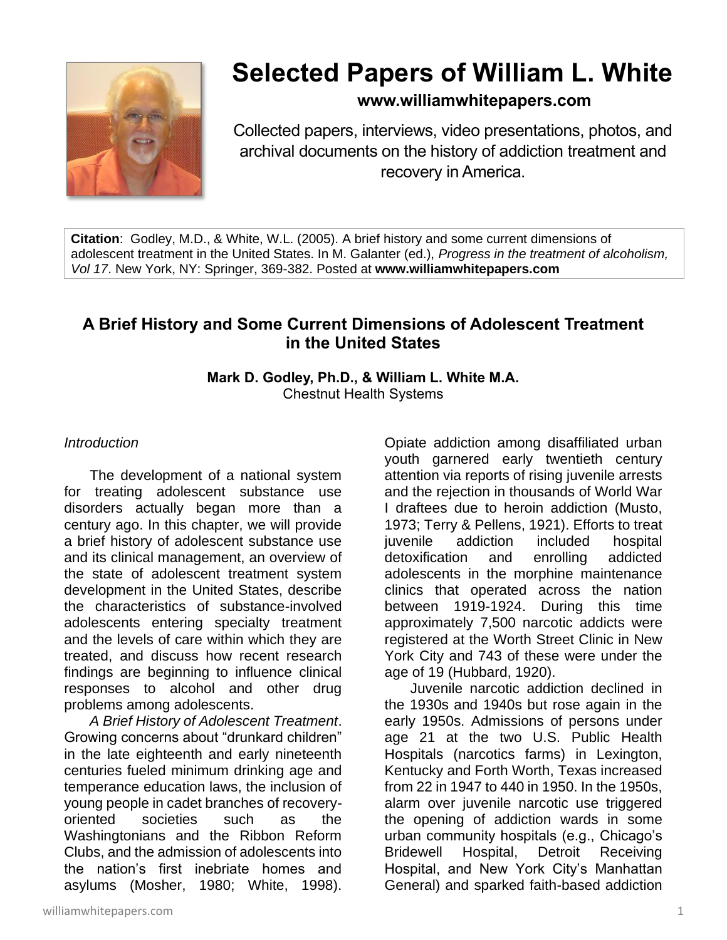

# **Selected Papers of William L. White**

# **www.williamwhitepapers.com**

Collected papers, interviews, video presentations, photos, and archival documents on the history of addiction treatment and recovery in America.

**Citation**: Godley, M.D., & White, W.L. (2005). A brief history and some current dimensions of adolescent treatment in the United States. In M. Galanter (ed.), *Progress in the treatment of alcoholism, Vol 17*. New York, NY: Springer, 369-382. Posted at **www.williamwhitepapers.com**

# **A Brief History and Some Current Dimensions of Adolescent Treatment in the United States**

**Mark D. Godley, Ph.D., & William L. White M.A.** Chestnut Health Systems

#### *Introduction*

The development of a national system for treating adolescent substance use disorders actually began more than a century ago. In this chapter, we will provide a brief history of adolescent substance use and its clinical management, an overview of the state of adolescent treatment system development in the United States, describe the characteristics of substance-involved adolescents entering specialty treatment and the levels of care within which they are treated, and discuss how recent research findings are beginning to influence clinical responses to alcohol and other drug problems among adolescents.

*A Brief History of Adolescent Treatment*. Growing concerns about "drunkard children" in the late eighteenth and early nineteenth centuries fueled minimum drinking age and temperance education laws, the inclusion of young people in cadet branches of recoveryoriented societies such as the Washingtonians and the Ribbon Reform Clubs, and the admission of adolescents into the nation's first inebriate homes and asylums (Mosher, 1980; White, 1998).

Opiate addiction among disaffiliated urban youth garnered early twentieth century attention via reports of rising juvenile arrests and the rejection in thousands of World War I draftees due to heroin addiction (Musto, 1973; Terry & Pellens, 1921). Efforts to treat juvenile addiction included hospital detoxification and enrolling addicted adolescents in the morphine maintenance clinics that operated across the nation between 1919-1924. During this time approximately 7,500 narcotic addicts were registered at the Worth Street Clinic in New York City and 743 of these were under the age of 19 (Hubbard, 1920).

Juvenile narcotic addiction declined in the 1930s and 1940s but rose again in the early 1950s. Admissions of persons under age 21 at the two U.S. Public Health Hospitals (narcotics farms) in Lexington, Kentucky and Forth Worth, Texas increased from 22 in 1947 to 440 in 1950. In the 1950s, alarm over juvenile narcotic use triggered the opening of addiction wards in some urban community hospitals (e.g., Chicago's Bridewell Hospital, Detroit Receiving Hospital, and New York City's Manhattan General) and sparked faith-based addiction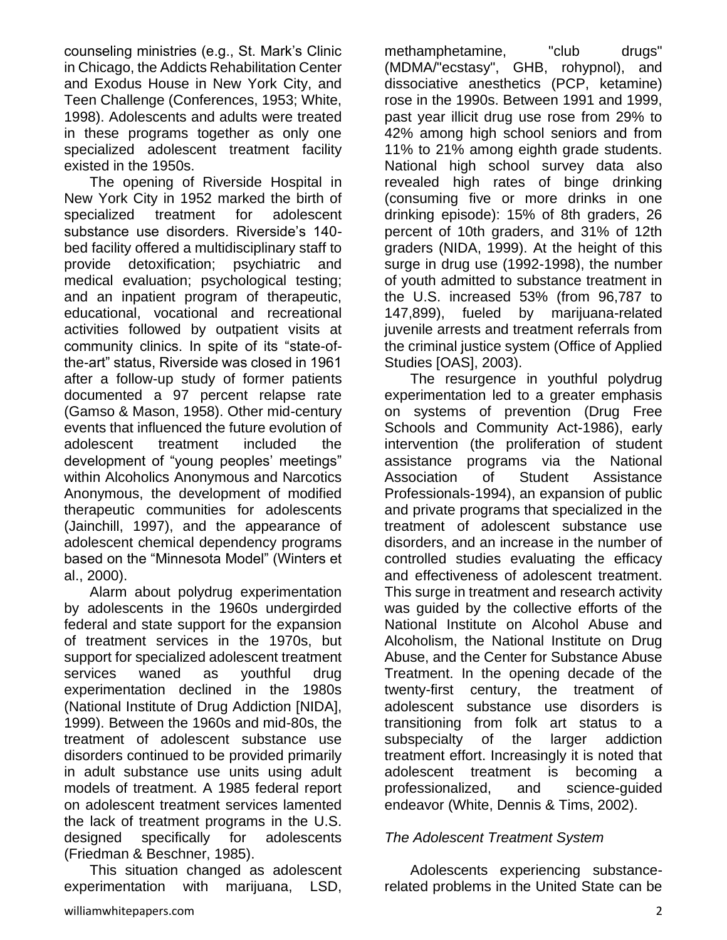counseling ministries (e.g., St. Mark's Clinic in Chicago, the Addicts Rehabilitation Center and Exodus House in New York City, and Teen Challenge (Conferences, 1953; White, 1998). Adolescents and adults were treated in these programs together as only one specialized adolescent treatment facility existed in the 1950s.

The opening of Riverside Hospital in New York City in 1952 marked the birth of specialized treatment for adolescent substance use disorders. Riverside's 140 bed facility offered a multidisciplinary staff to provide detoxification; psychiatric and medical evaluation; psychological testing; and an inpatient program of therapeutic, educational, vocational and recreational activities followed by outpatient visits at community clinics. In spite of its "state-ofthe-art" status, Riverside was closed in 1961 after a follow-up study of former patients documented a 97 percent relapse rate (Gamso & Mason, 1958). Other mid-century events that influenced the future evolution of adolescent treatment included the development of "young peoples' meetings" within Alcoholics Anonymous and Narcotics Anonymous, the development of modified therapeutic communities for adolescents (Jainchill, 1997), and the appearance of adolescent chemical dependency programs based on the "Minnesota Model" (Winters et al., 2000).

Alarm about polydrug experimentation by adolescents in the 1960s undergirded federal and state support for the expansion of treatment services in the 1970s, but support for specialized adolescent treatment services waned as youthful drug experimentation declined in the 1980s [\(National](http://www.monitoringthefuture.org/) Institute of Drug Addiction [NIDA], 1999). Between the 1960s and mid-80s, the treatment of adolescent substance use disorders continued to be provided primarily in adult substance use units using adult models of treatment. A 1985 federal report on adolescent treatment services lamented the lack of treatment programs in the U.S. designed specifically for adolescents (Friedman & Beschner, 1985).

This situation changed as adolescent experimentation with marijuana, LSD,

methamphetamine, "club drugs" (MDMA/"ecstasy", GHB, rohypnol), and dissociative anesthetics (PCP, ketamine) rose in the 1990s. Between 1991 and 1999, past year illicit drug use rose from 29% to 42% among high school seniors and from 11% to 21% among eighth grade students. National high school survey data also revealed high rates of binge drinking (consuming five or more drinks in one drinking episode): 15% of 8th graders, 26 percent of 10th graders, and 31% of 12th graders (NIDA, 1999). At the height of this surge in drug use (1992-1998), the number of youth admitted to substance treatment in the U.S. increased 53% (from 96,787 to 147,899), fueled by marijuana-related juvenile arrests and treatment referrals from the criminal justice system (Office of Applied Studies [OAS], 2003).

The resurgence in youthful polydrug experimentation led to a greater emphasis on systems of prevention (Drug Free Schools and Community Act-1986), early intervention (the proliferation of student assistance programs via the National Association of Student Assistance Professionals-1994), an expansion of public and private programs that specialized in the treatment of adolescent substance use disorders, and an increase in the number of controlled studies evaluating the efficacy and effectiveness of adolescent treatment. This surge in treatment and research activity was guided by the collective efforts of the National Institute on Alcohol Abuse and Alcoholism, the National Institute on Drug Abuse, and the Center for Substance Abuse Treatment. In the opening decade of the twenty-first century, the treatment of adolescent substance use disorders is transitioning from folk art status to a subspecialty of the larger addiction treatment effort. Increasingly it is noted that adolescent treatment is becoming a professionalized, and science-guided endeavor (White, Dennis & Tims, 2002).

## *The Adolescent Treatment System*

Adolescents experiencing substancerelated problems in the United State can be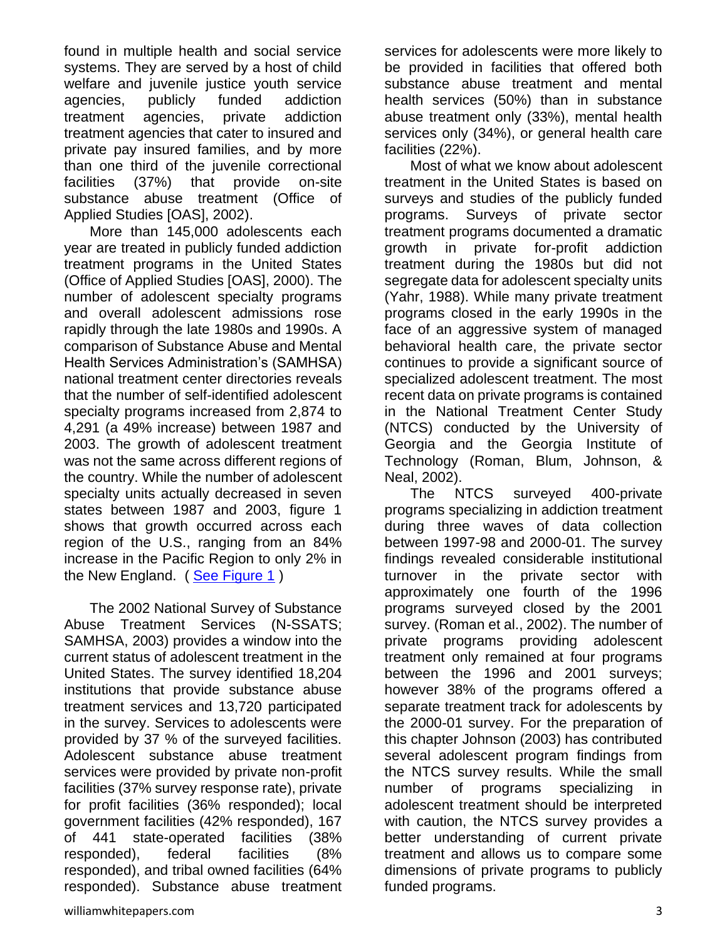found in multiple health and social service systems. They are served by a host of child welfare and juvenile justice youth service agencies, publicly funded addiction treatment agencies, private addiction treatment agencies that cater to insured and private pay insured families, and by more than one third of the juvenile correctional facilities (37%) that provide on-site substance abuse treatment (Office of Applied Studies [OAS], 2002).

More than 145,000 adolescents each year are treated in publicly funded addiction treatment programs in the United States (Office of Applied Studies [OAS], 2000). The number of adolescent specialty programs and overall adolescent admissions rose rapidly through the late 1980s and 1990s. A comparison of Substance Abuse and Mental Health Services Administration's (SAMHSA) national treatment center directories reveals that the number of self-identified adolescent specialty programs increased from 2,874 to 4,291 (a 49% increase) between 1987 and 2003. The growth of adolescent treatment was not the same across different regions of the country. While the number of adolescent specialty units actually decreased in seven states between 1987 and 2003, figure 1 shows that growth occurred across each region of the U.S., ranging from an 84% increase in the Pacific Region to only 2% in the New England. ([See Figure 1](#page-13-0))

<span id="page-2-0"></span>The 2002 National Survey of Substance Abuse Treatment Services (N-SSATS; SAMHSA, 2003) provides a window into the current status of adolescent treatment in the United States. The survey identified 18,204 institutions that provide substance abuse treatment services and 13,720 participated in the survey. Services to adolescents were provided by 37 % of the surveyed facilities. Adolescent substance abuse treatment services were provided by private non-profit facilities (37% survey response rate), private for profit facilities (36% responded); local government facilities (42% responded), 167 of 441 state-operated facilities (38% responded), federal facilities (8% responded), and tribal owned facilities (64% responded). Substance abuse treatment

services for adolescents were more likely to be provided in facilities that offered both substance abuse treatment and mental health services (50%) than in substance abuse treatment only (33%), mental health services only (34%), or general health care facilities (22%).

Most of what we know about adolescent treatment in the United States is based on surveys and studies of the publicly funded programs. Surveys of private sector treatment programs documented a dramatic growth in private for-profit addiction treatment during the 1980s but did not segregate data for adolescent specialty units (Yahr, 1988). While many private treatment programs closed in the early 1990s in the face of an aggressive system of managed behavioral health care, the private sector continues to provide a significant source of specialized adolescent treatment. The most recent data on private programs is contained in the National Treatment Center Study (NTCS) conducted by the University of Georgia and the Georgia Institute of Technology (Roman, Blum, Johnson, & Neal, 2002).

The NTCS surveyed 400-private programs specializing in addiction treatment during three waves of data collection between 1997-98 and 2000-01. The survey findings revealed considerable institutional turnover in the private sector with approximately one fourth of the 1996 programs surveyed closed by the 2001 survey. (Roman et al., 2002). The number of private programs providing adolescent treatment only remained at four programs between the 1996 and 2001 surveys; however 38% of the programs offered a separate treatment track for adolescents by the 2000-01 survey. For the preparation of this chapter Johnson (2003) has contributed several adolescent program findings from the NTCS survey results. While the small number of programs specializing in adolescent treatment should be interpreted with caution, the NTCS survey provides a better understanding of current private treatment and allows us to compare some dimensions of private programs to publicly funded programs.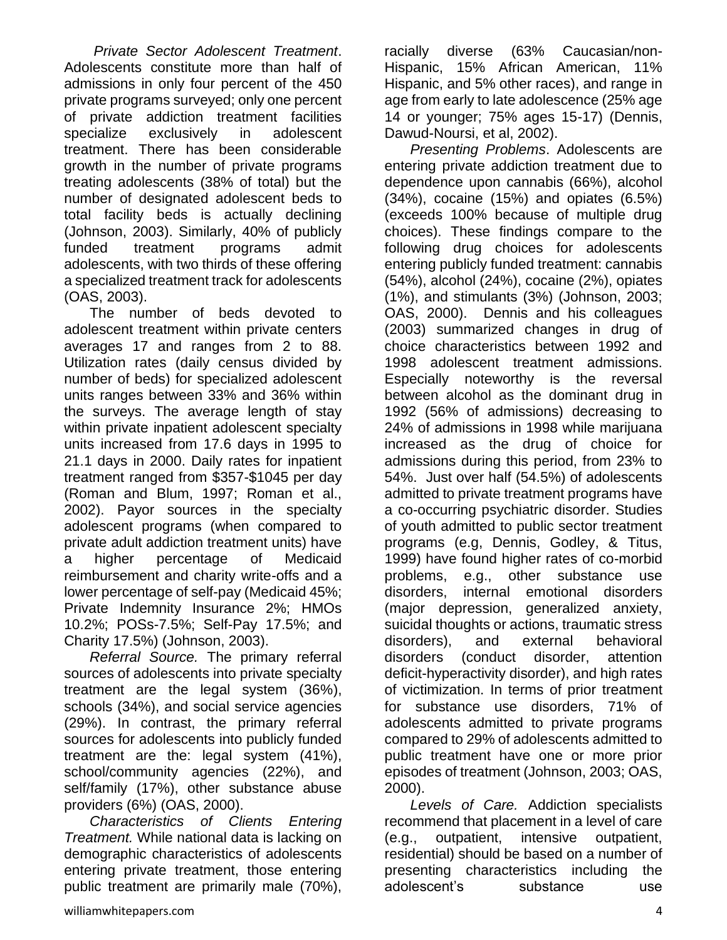*Private Sector Adolescent Treatment*. Adolescents constitute more than half of admissions in only four percent of the 450 private programs surveyed; only one percent of private addiction treatment facilities specialize exclusively in adolescent treatment. There has been considerable growth in the number of private programs treating adolescents (38% of total) but the number of designated adolescent beds to total facility beds is actually declining (Johnson, 2003). Similarly, 40% of publicly funded treatment programs admit adolescents, with two thirds of these offering a specialized treatment track for adolescents (OAS, 2003).

The number of beds devoted to adolescent treatment within private centers averages 17 and ranges from 2 to 88. Utilization rates (daily census divided by number of beds) for specialized adolescent units ranges between 33% and 36% within the surveys. The average length of stay within private inpatient adolescent specialty units increased from 17.6 days in 1995 to 21.1 days in 2000. Daily rates for inpatient treatment ranged from \$357-\$1045 per day (Roman and Blum, 1997; Roman et al., 2002). Payor sources in the specialty adolescent programs (when compared to private adult addiction treatment units) have a higher percentage of Medicaid reimbursement and charity write-offs and a lower percentage of self-pay (Medicaid 45%; Private Indemnity Insurance 2%; HMOs 10.2%; POSs-7.5%; Self-Pay 17.5%; and Charity 17.5%) (Johnson, 2003).

*Referral Source.* The primary referral sources of adolescents into private specialty treatment are the legal system (36%), schools (34%), and social service agencies (29%). In contrast, the primary referral sources for adolescents into publicly funded treatment are the: legal system (41%), school/community agencies (22%), and self/family (17%), other substance abuse providers (6%) (OAS, 2000).

*Characteristics of Clients Entering Treatment.* While national data is lacking on demographic characteristics of adolescents entering private treatment, those entering public treatment are primarily male (70%),

racially diverse (63% Caucasian/non-Hispanic, 15% African American, 11% Hispanic, and 5% other races), and range in age from early to late adolescence (25% age 14 or younger; 75% ages 15-17) (Dennis, Dawud-Noursi, et al, 2002).

*Presenting Problems*. Adolescents are entering private addiction treatment due to dependence upon cannabis (66%), alcohol (34%), cocaine (15%) and opiates (6.5%) (exceeds 100% because of multiple drug choices). These findings compare to the following drug choices for adolescents entering publicly funded treatment: cannabis (54%), alcohol (24%), cocaine (2%), opiates (1%), and stimulants (3%) (Johnson, 2003; OAS, 2000). Dennis and his colleagues (2003) summarized changes in drug of choice characteristics between 1992 and 1998 adolescent treatment admissions. Especially noteworthy is the reversal between alcohol as the dominant drug in 1992 (56% of admissions) decreasing to 24% of admissions in 1998 while marijuana increased as the drug of choice for admissions during this period, from 23% to 54%. Just over half (54.5%) of adolescents admitted to private treatment programs have a co-occurring psychiatric disorder. Studies of youth admitted to public sector treatment programs (e.g, Dennis, Godley, & Titus, 1999) have found higher rates of co-morbid problems, e.g., other substance use disorders, internal emotional disorders (major depression, generalized anxiety, suicidal thoughts or actions, traumatic stress disorders), and external behavioral disorders (conduct disorder, attention deficit-hyperactivity disorder), and high rates of victimization. In terms of prior treatment for substance use disorders, 71% of adolescents admitted to private programs compared to 29% of adolescents admitted to public treatment have one or more prior episodes of treatment (Johnson, 2003; OAS, 2000).

*Levels of Care.* Addiction specialists recommend that placement in a level of care (e.g., outpatient, intensive outpatient, residential) should be based on a number of presenting characteristics including the adolescent's substance use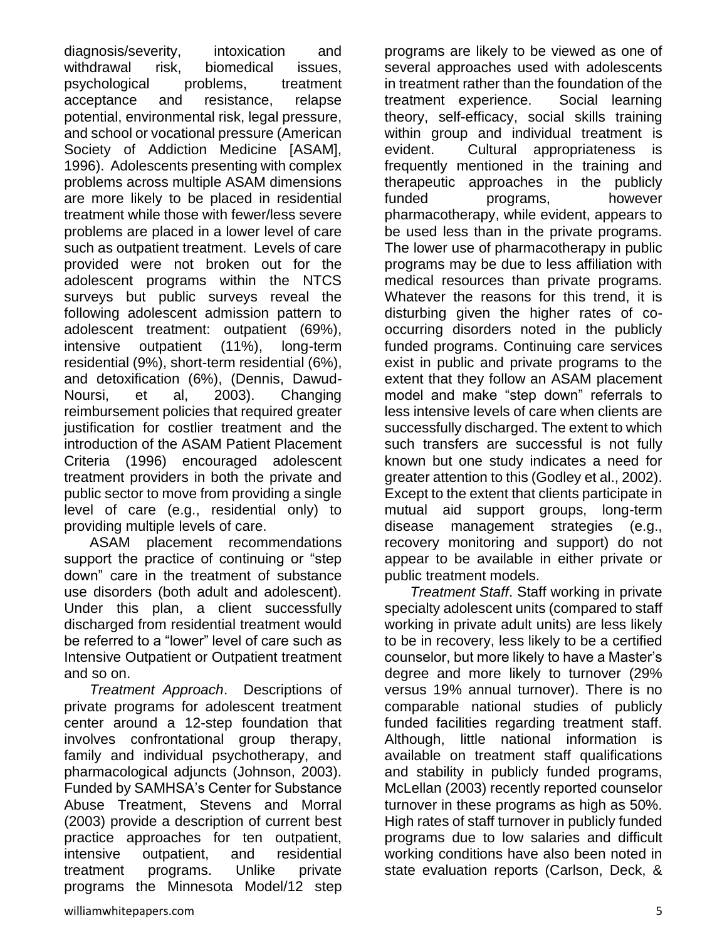diagnosis/severity, intoxication and withdrawal risk, biomedical issues, psychological problems, treatment acceptance and resistance, relapse potential, environmental risk, legal pressure, and school or vocational pressure (American Society of Addiction Medicine [ASAM], 1996). Adolescents presenting with complex problems across multiple ASAM dimensions are more likely to be placed in residential treatment while those with fewer/less severe problems are placed in a lower level of care such as outpatient treatment. Levels of care provided were not broken out for the adolescent programs within the NTCS surveys but public surveys reveal the following adolescent admission pattern to adolescent treatment: outpatient (69%), intensive outpatient (11%), long-term residential (9%), short-term residential (6%), and detoxification (6%), (Dennis, Dawud-Noursi, et al, 2003). Changing reimbursement policies that required greater justification for costlier treatment and the introduction of the ASAM Patient Placement Criteria (1996) encouraged adolescent treatment providers in both the private and public sector to move from providing a single level of care (e.g., residential only) to providing multiple levels of care.

ASAM placement recommendations support the practice of continuing or "step down" care in the treatment of substance use disorders (both adult and adolescent). Under this plan, a client successfully discharged from residential treatment would be referred to a "lower" level of care such as Intensive Outpatient or Outpatient treatment and so on.

*Treatment Approach*. Descriptions of private programs for adolescent treatment center around a 12-step foundation that involves confrontational group therapy, family and individual psychotherapy, and pharmacological adjuncts (Johnson, 2003). Funded by SAMHSA's Center for Substance Abuse Treatment, Stevens and Morral (2003) provide a description of current best practice approaches for ten outpatient, intensive outpatient, and residential treatment programs. Unlike private programs the Minnesota Model/12 step

programs are likely to be viewed as one of several approaches used with adolescents in treatment rather than the foundation of the treatment experience. Social learning theory, self-efficacy, social skills training within group and individual treatment is evident. Cultural appropriateness is frequently mentioned in the training and therapeutic approaches in the publicly funded programs, however pharmacotherapy, while evident, appears to be used less than in the private programs. The lower use of pharmacotherapy in public programs may be due to less affiliation with medical resources than private programs. Whatever the reasons for this trend, it is disturbing given the higher rates of cooccurring disorders noted in the publicly funded programs. Continuing care services exist in public and private programs to the extent that they follow an ASAM placement model and make "step down" referrals to less intensive levels of care when clients are successfully discharged. The extent to which such transfers are successful is not fully known but one study indicates a need for greater attention to this (Godley et al., 2002). Except to the extent that clients participate in mutual aid support groups, long-term disease management strategies (e.g., recovery monitoring and support) do not appear to be available in either private or public treatment models.

*Treatment Staff*. Staff working in private specialty adolescent units (compared to staff working in private adult units) are less likely to be in recovery, less likely to be a certified counselor, but more likely to have a Master's degree and more likely to turnover (29% versus 19% annual turnover). There is no comparable national studies of publicly funded facilities regarding treatment staff. Although, little national information is available on treatment staff qualifications and stability in publicly funded programs, McLellan (2003) recently reported counselor turnover in these programs as high as 50%. High rates of staff turnover in publicly funded programs due to low salaries and difficult working conditions have also been noted in state evaluation reports (Carlson, Deck, &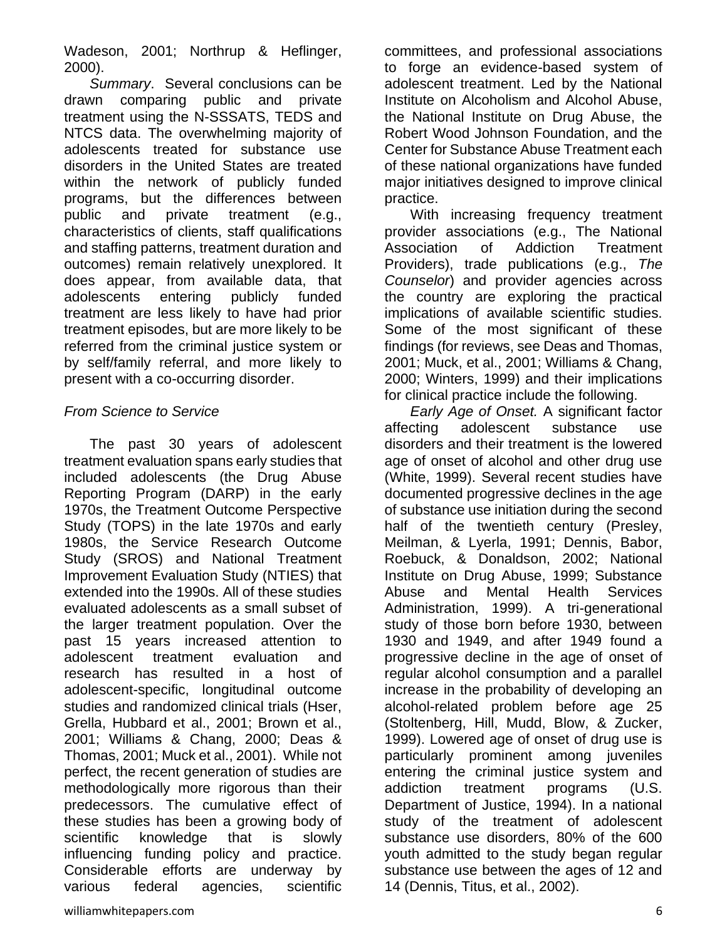Wadeson, 2001; Northrup & Heflinger, 2000).

*Summary*. Several conclusions can be drawn comparing public and private treatment using the N-SSSATS, TEDS and NTCS data. The overwhelming majority of adolescents treated for substance use disorders in the United States are treated within the network of publicly funded programs, but the differences between public and private treatment (e.g., characteristics of clients, staff qualifications and staffing patterns, treatment duration and outcomes) remain relatively unexplored. It does appear, from available data, that adolescents entering publicly funded treatment are less likely to have had prior treatment episodes, but are more likely to be referred from the criminal justice system or by self/family referral, and more likely to present with a co-occurring disorder.

#### *From Science to Service*

The past 30 years of adolescent treatment evaluation spans early studies that included adolescents (the Drug Abuse Reporting Program (DARP) in the early 1970s, the Treatment Outcome Perspective Study (TOPS) in the late 1970s and early 1980s, the Service Research Outcome Study (SROS) and National Treatment Improvement Evaluation Study (NTIES) that extended into the 1990s. All of these studies evaluated adolescents as a small subset of the larger treatment population. Over the past 15 years increased attention to adolescent treatment evaluation and research has resulted in a host of adolescent-specific, longitudinal outcome studies and randomized clinical trials (Hser, Grella, Hubbard et al., 2001; Brown et al., 2001; Williams & Chang, 2000; Deas & Thomas, 2001; Muck et al., 2001). While not perfect, the recent generation of studies are methodologically more rigorous than their predecessors. The cumulative effect of these studies has been a growing body of scientific knowledge that is slowly influencing funding policy and practice. Considerable efforts are underway by various federal agencies, scientific

committees, and professional associations to forge an evidence-based system of adolescent treatment. Led by the National Institute on Alcoholism and Alcohol Abuse, the National Institute on Drug Abuse, the Robert Wood Johnson Foundation, and the Center for Substance Abuse Treatment each of these national organizations have funded major initiatives designed to improve clinical practice.

With increasing frequency treatment provider associations (e.g., The National Association of Addiction Treatment Providers), trade publications (e.g., *The Counselor*) and provider agencies across the country are exploring the practical implications of available scientific studies. Some of the most significant of these findings (for reviews, see Deas and Thomas, 2001; Muck, et al., 2001; Williams & Chang, 2000; Winters, 1999) and their implications for clinical practice include the following.

*Early Age of Onset.* A significant factor affecting adolescent substance use disorders and their treatment is the lowered age of onset of alcohol and other drug use (White, 1999). Several recent studies have documented progressive declines in the age of substance use initiation during the second half of the twentieth century (Presley, Meilman, & Lyerla, 1991; Dennis, Babor, Roebuck, & Donaldson, 2002; National Institute on Drug Abuse, 1999; Substance Abuse and Mental Health Services Administration, 1999). A tri-generational study of those born before 1930, between 1930 and 1949, and after 1949 found a progressive decline in the age of onset of regular alcohol consumption and a parallel increase in the probability of developing an alcohol-related problem before age 25 (Stoltenberg, Hill, Mudd, Blow, & Zucker, 1999). Lowered age of onset of drug use is particularly prominent among juveniles entering the criminal justice system and addiction treatment programs (U.S. Department of Justice, 1994). In a national study of the treatment of adolescent substance use disorders, 80% of the 600 youth admitted to the study began regular substance use between the ages of 12 and 14 (Dennis, Titus, et al., 2002).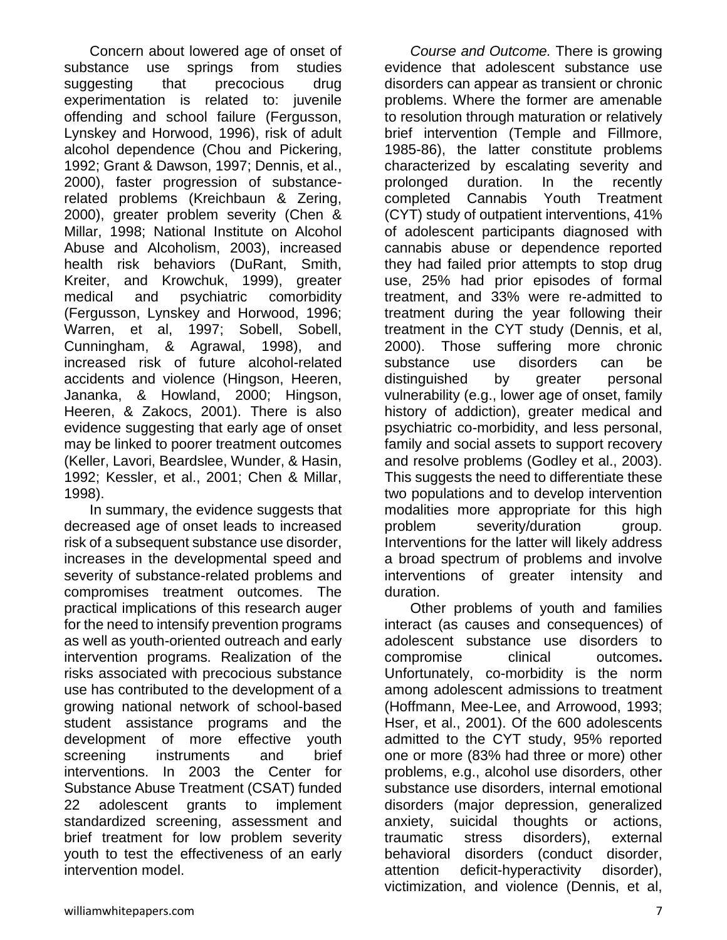Concern about lowered age of onset of substance use springs from studies suggesting that precocious drug experimentation is related to: juvenile offending and school failure (Fergusson, Lynskey and Horwood, 1996), risk of adult alcohol dependence (Chou and Pickering, 1992; Grant & Dawson, 1997; Dennis, et al., 2000), faster progression of substancerelated problems (Kreichbaun & Zering, 2000), greater problem severity (Chen & Millar, 1998; National Institute on Alcohol Abuse and Alcoholism, 2003), increased health risk behaviors (DuRant, Smith, Kreiter, and Krowchuk, 1999), greater medical and psychiatric comorbidity (Fergusson, Lynskey and Horwood, 1996; Warren, et al, 1997; Sobell, Sobell, Cunningham, & Agrawal, 1998), and increased risk of future alcohol-related accidents and violence (Hingson, Heeren, Jananka, & Howland, 2000; Hingson, Heeren, & Zakocs, 2001). There is also evidence suggesting that early age of onset may be linked to poorer treatment outcomes (Keller, Lavori, Beardslee, Wunder, & Hasin, 1992; Kessler, et al., 2001; Chen & Millar, 1998).

In summary, the evidence suggests that decreased age of onset leads to increased risk of a subsequent substance use disorder, increases in the developmental speed and severity of substance-related problems and compromises treatment outcomes. The practical implications of this research auger for the need to intensify prevention programs as well as youth-oriented outreach and early intervention programs. Realization of the risks associated with precocious substance use has contributed to the development of a growing national network of school-based student assistance programs and the development of more effective youth screening instruments and brief interventions. In 2003 the Center for Substance Abuse Treatment (CSAT) funded 22 adolescent grants to implement standardized screening, assessment and brief treatment for low problem severity youth to test the effectiveness of an early intervention model.

*Course and Outcome.* There is growing evidence that adolescent substance use disorders can appear as transient or chronic problems. Where the former are amenable to resolution through maturation or relatively brief intervention (Temple and Fillmore, 1985-86), the latter constitute problems characterized by escalating severity and prolonged duration. In the recently completed Cannabis Youth Treatment (CYT) study of outpatient interventions, 41% of adolescent participants diagnosed with cannabis abuse or dependence reported they had failed prior attempts to stop drug use, 25% had prior episodes of formal treatment, and 33% were re-admitted to treatment during the year following their treatment in the CYT study (Dennis, et al, 2000). Those suffering more chronic substance use disorders can be distinguished by greater personal vulnerability (e.g., lower age of onset, family history of addiction), greater medical and psychiatric co-morbidity, and less personal, family and social assets to support recovery and resolve problems (Godley et al., 2003). This suggests the need to differentiate these two populations and to develop intervention modalities more appropriate for this high problem severity/duration group. Interventions for the latter will likely address a broad spectrum of problems and involve interventions of greater intensity and duration.

Other problems of youth and families interact (as causes and consequences) of adolescent substance use disorders to compromise clinical outcomes**.**  Unfortunately, co-morbidity is the norm among adolescent admissions to treatment (Hoffmann, Mee-Lee, and Arrowood, 1993; Hser, et al., 2001). Of the 600 adolescents admitted to the CYT study, 95% reported one or more (83% had three or more) other problems, e.g., alcohol use disorders, other substance use disorders, internal emotional disorders (major depression, generalized anxiety, suicidal thoughts or actions, traumatic stress disorders), external behavioral disorders (conduct disorder, attention deficit-hyperactivity disorder), victimization, and violence (Dennis, et al,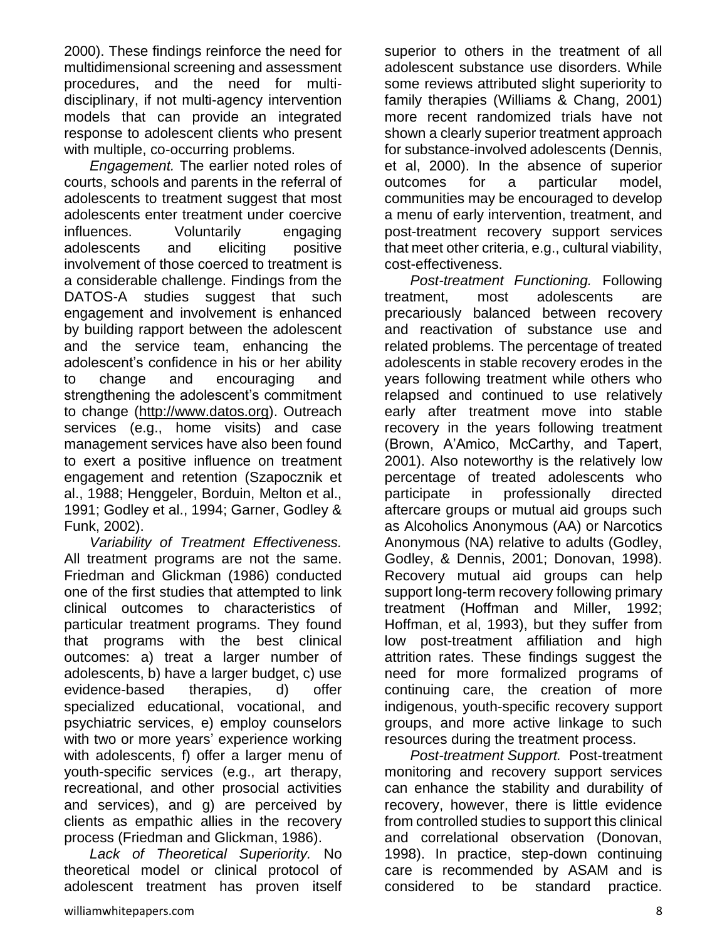2000). These findings reinforce the need for multidimensional screening and assessment procedures, and the need for multidisciplinary, if not multi-agency intervention models that can provide an integrated response to adolescent clients who present with multiple, co-occurring problems.

*Engagement.* The earlier noted roles of courts, schools and parents in the referral of adolescents to treatment suggest that most adolescents enter treatment under coercive influences. Voluntarily engaging adolescents and eliciting positive involvement of those coerced to treatment is a considerable challenge. Findings from the DATOS-A studies suggest that such engagement and involvement is enhanced by building rapport between the adolescent and the service team, enhancing the adolescent's confidence in his or her ability to change and encouraging and strengthening the adolescent's commitment to change [\(http://www.datos.org\)](http://www.datos.org/). Outreach services (e.g., home visits) and case management services have also been found to exert a positive influence on treatment engagement and retention (Szapocznik et al., 1988; Henggeler, Borduin, Melton et al., 1991; Godley et al., 1994; Garner, Godley & Funk, 2002).

*Variability of Treatment Effectiveness.* All treatment programs are not the same. Friedman and Glickman (1986) conducted one of the first studies that attempted to link clinical outcomes to characteristics of particular treatment programs. They found that programs with the best clinical outcomes: a) treat a larger number of adolescents, b) have a larger budget, c) use evidence-based therapies, d) offer specialized educational, vocational, and psychiatric services, e) employ counselors with two or more years' experience working with adolescents, f) offer a larger menu of youth-specific services (e.g., art therapy, recreational, and other prosocial activities and services), and g) are perceived by clients as empathic allies in the recovery process (Friedman and Glickman, 1986).

*Lack of Theoretical Superiority.* No theoretical model or clinical protocol of adolescent treatment has proven itself

superior to others in the treatment of all adolescent substance use disorders. While some reviews attributed slight superiority to family therapies (Williams & Chang, 2001) more recent randomized trials have not shown a clearly superior treatment approach for substance-involved adolescents (Dennis, et al, 2000). In the absence of superior outcomes for a particular model, communities may be encouraged to develop a menu of early intervention, treatment, and post-treatment recovery support services that meet other criteria, e.g., cultural viability, cost-effectiveness.

*Post-treatment Functioning.* Following treatment, most adolescents are precariously balanced between recovery and reactivation of substance use and related problems. The percentage of treated adolescents in stable recovery erodes in the years following treatment while others who relapsed and continued to use relatively early after treatment move into stable recovery in the years following treatment (Brown, A'Amico, McCarthy, and Tapert, 2001). Also noteworthy is the relatively low percentage of treated adolescents who participate in professionally directed aftercare groups or mutual aid groups such as Alcoholics Anonymous (AA) or Narcotics Anonymous (NA) relative to adults (Godley, Godley, & Dennis, 2001; Donovan, 1998). Recovery mutual aid groups can help support long-term recovery following primary treatment (Hoffman and Miller, 1992; Hoffman, et al, 1993), but they suffer from low post-treatment affiliation and high attrition rates. These findings suggest the need for more formalized programs of continuing care, the creation of more indigenous, youth-specific recovery support groups, and more active linkage to such resources during the treatment process.

*Post-treatment Support.* Post-treatment monitoring and recovery support services can enhance the stability and durability of recovery, however, there is little evidence from controlled studies to support this clinical and correlational observation (Donovan, 1998). In practice, step-down continuing care is recommended by ASAM and is considered to be standard practice.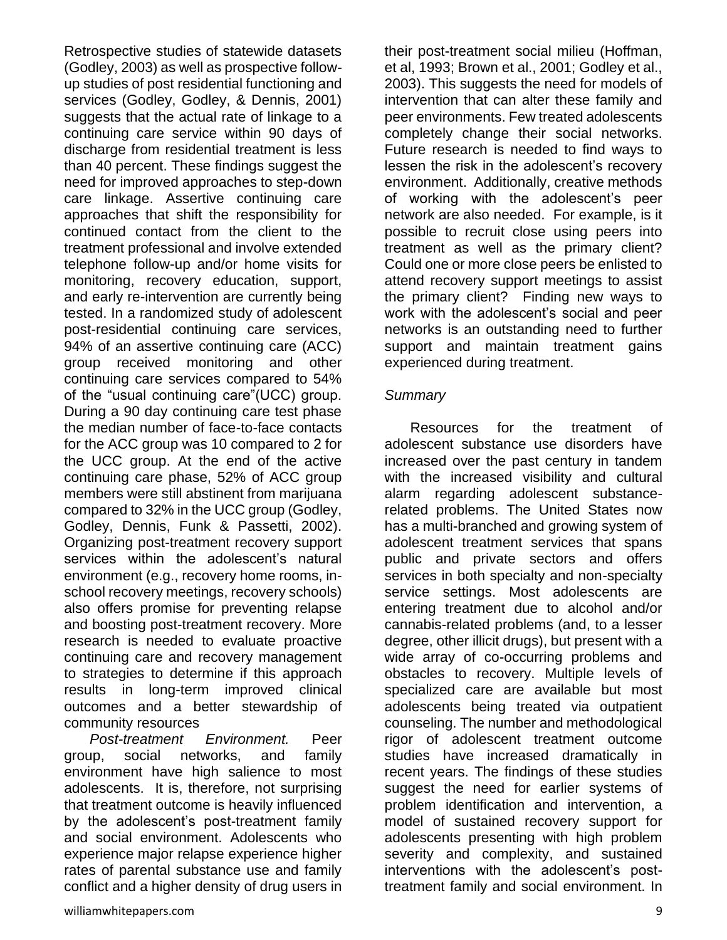Retrospective studies of statewide datasets (Godley, 2003) as well as prospective followup studies of post residential functioning and services (Godley, Godley, & Dennis, 2001) suggests that the actual rate of linkage to a continuing care service within 90 days of discharge from residential treatment is less than 40 percent. These findings suggest the need for improved approaches to step-down care linkage. Assertive continuing care approaches that shift the responsibility for continued contact from the client to the treatment professional and involve extended telephone follow-up and/or home visits for monitoring, recovery education, support, and early re-intervention are currently being tested. In a randomized study of adolescent post-residential continuing care services, 94% of an assertive continuing care (ACC) group received monitoring and other continuing care services compared to 54% of the "usual continuing care"(UCC) group. During a 90 day continuing care test phase the median number of face-to-face contacts for the ACC group was 10 compared to 2 for the UCC group. At the end of the active continuing care phase, 52% of ACC group members were still abstinent from marijuana compared to 32% in the UCC group (Godley, Godley, Dennis, Funk & Passetti, 2002). Organizing post-treatment recovery support services within the adolescent's natural environment (e.g., recovery home rooms, inschool recovery meetings, recovery schools) also offers promise for preventing relapse and boosting post-treatment recovery. More research is needed to evaluate proactive continuing care and recovery management to strategies to determine if this approach results in long-term improved clinical outcomes and a better stewardship of community resources

*Post-treatment Environment.* Peer group, social networks, and family environment have high salience to most adolescents. It is, therefore, not surprising that treatment outcome is heavily influenced by the adolescent's post-treatment family and social environment. Adolescents who experience major relapse experience higher rates of parental substance use and family conflict and a higher density of drug users in their post-treatment social milieu (Hoffman, et al, 1993; Brown et al., 2001; Godley et al., 2003). This suggests the need for models of intervention that can alter these family and peer environments. Few treated adolescents completely change their social networks. Future research is needed to find ways to lessen the risk in the adolescent's recovery environment. Additionally, creative methods of working with the adolescent's peer network are also needed. For example, is it possible to recruit close using peers into treatment as well as the primary client? Could one or more close peers be enlisted to attend recovery support meetings to assist the primary client? Finding new ways to work with the adolescent's social and peer networks is an outstanding need to further support and maintain treatment gains experienced during treatment.

#### *Summary*

Resources for the treatment of adolescent substance use disorders have increased over the past century in tandem with the increased visibility and cultural alarm regarding adolescent substancerelated problems. The United States now has a multi-branched and growing system of adolescent treatment services that spans public and private sectors and offers services in both specialty and non-specialty service settings. Most adolescents are entering treatment due to alcohol and/or cannabis-related problems (and, to a lesser degree, other illicit drugs), but present with a wide array of co-occurring problems and obstacles to recovery. Multiple levels of specialized care are available but most adolescents being treated via outpatient counseling. The number and methodological rigor of adolescent treatment outcome studies have increased dramatically in recent years. The findings of these studies suggest the need for earlier systems of problem identification and intervention, a model of sustained recovery support for adolescents presenting with high problem severity and complexity, and sustained interventions with the adolescent's posttreatment family and social environment. In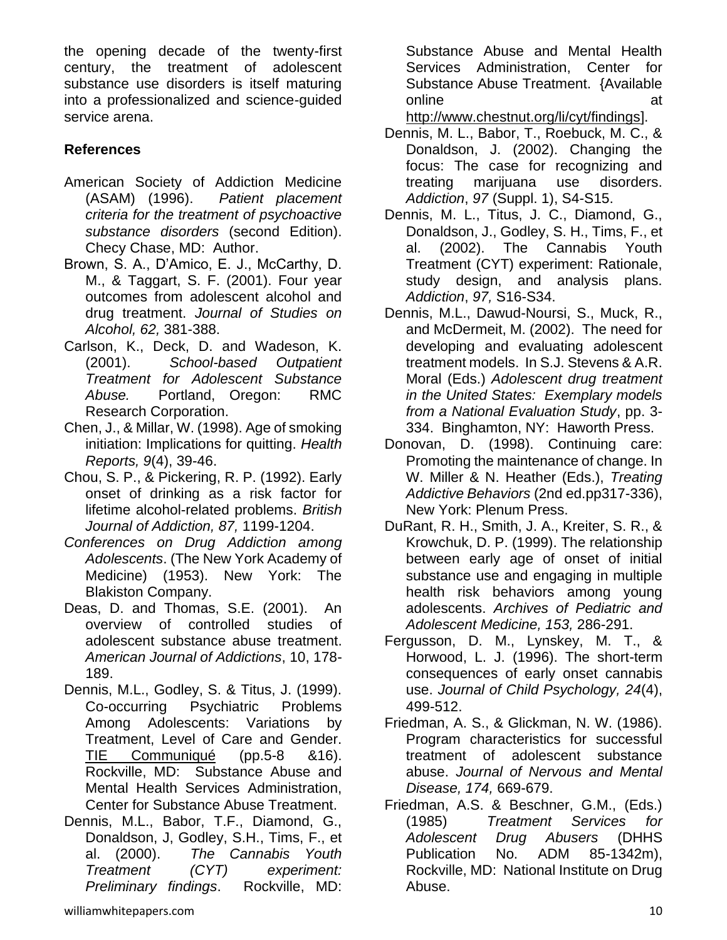the opening decade of the twenty-first century, the treatment of adolescent substance use disorders is itself maturing into a professionalized and science-guided service arena.

## **References**

- American Society of Addiction Medicine (ASAM) (1996). *Patient placement criteria for the treatment of psychoactive substance disorders* (second Edition). Checy Chase, MD: Author.
- Brown, S. A., D'Amico, E. J., McCarthy, D. M., & Taggart, S. F. (2001). Four year outcomes from adolescent alcohol and drug treatment. *Journal of Studies on Alcohol, 62,* 381-388.
- Carlson, K., Deck, D. and Wadeson, K. (2001). *School-based Outpatient Treatment for Adolescent Substance Abuse.* Portland, Oregon: RMC Research Corporation.
- Chen, J., & Millar, W. (1998). Age of smoking initiation: Implications for quitting. *Health Reports, 9*(4), 39-46.
- Chou, S. P., & Pickering, R. P. (1992). Early onset of drinking as a risk factor for lifetime alcohol-related problems. *British Journal of Addiction, 87,* 1199-1204.
- *Conferences on Drug Addiction among Adolescents*. (The New York Academy of Medicine) (1953). New York: The Blakiston Company.
- Deas, D. and Thomas, S.E. (2001). An overview of controlled studies of adolescent substance abuse treatment. *American Journal of Addictions*, 10, 178- 189.
- Dennis, M.L., Godley, S. & Titus, J. (1999). Co-occurring Psychiatric Problems Among Adolescents: Variations by Treatment, Level of Care and Gender. TIE Communiqué (pp.5-8 &16). Rockville, MD: Substance Abuse and Mental Health Services Administration, Center for Substance Abuse Treatment.
- Dennis, M.L., Babor, T.F., Diamond, G., Donaldson, J, Godley, S.H., Tims, F., et al. (2000). *The Cannabis Youth Treatment (CYT) experiment: Preliminary findings*. Rockville, MD:

Substance Abuse and Mental Health Services Administration, Center for Substance Abuse Treatment. {Available online at a structure at a structure at a structure at a structure at a structure at a structure at a structure

[http://www.chestnut.org/li/cyt/findings\]](http://www.chestnut.org/li/cyt/findings).

- Dennis, M. L., Babor, T., Roebuck, M. C., & Donaldson, J. (2002). Changing the focus: The case for recognizing and treating marijuana use disorders. *Addiction*, *97* (Suppl. 1), S4-S15.
- Dennis, M. L., Titus, J. C., Diamond, G., Donaldson, J., Godley, S. H., Tims, F., et al. (2002). The Cannabis Youth Treatment (CYT) experiment: Rationale, study design, and analysis plans. *Addiction*, *97,* S16-S34.
- Dennis, M.L., Dawud-Noursi, S., Muck, R., and McDermeit, M. (2002). The need for developing and evaluating adolescent treatment models. In S.J. Stevens & A.R. Moral (Eds.) *Adolescent drug treatment in the United States: Exemplary models from a National Evaluation Study*, pp. 3- 334. Binghamton, NY: Haworth Press.
- Donovan, D. (1998). Continuing care: Promoting the maintenance of change. In W. Miller & N. Heather (Eds.), *Treating Addictive Behaviors* (2nd ed.pp317-336), New York: Plenum Press.
- DuRant, R. H., Smith, J. A., Kreiter, S. R., & Krowchuk, D. P. (1999). The relationship between early age of onset of initial substance use and engaging in multiple health risk behaviors among young adolescents. *Archives of Pediatric and Adolescent Medicine, 153,* 286-291.
- Fergusson, D. M., Lynskey, M. T., & Horwood, L. J. (1996). The short-term consequences of early onset cannabis use. *Journal of Child Psychology, 24*(4), 499-512.
- Friedman, A. S., & Glickman, N. W. (1986). Program characteristics for successful treatment of adolescent substance abuse. *Journal of Nervous and Mental Disease, 174,* 669-679.
- Friedman, A.S. & Beschner, G.M., (Eds.) (1985) *Treatment Services for Adolescent Drug Abusers* (DHHS Publication No. ADM 85-1342m), Rockville, MD: National Institute on Drug Abuse.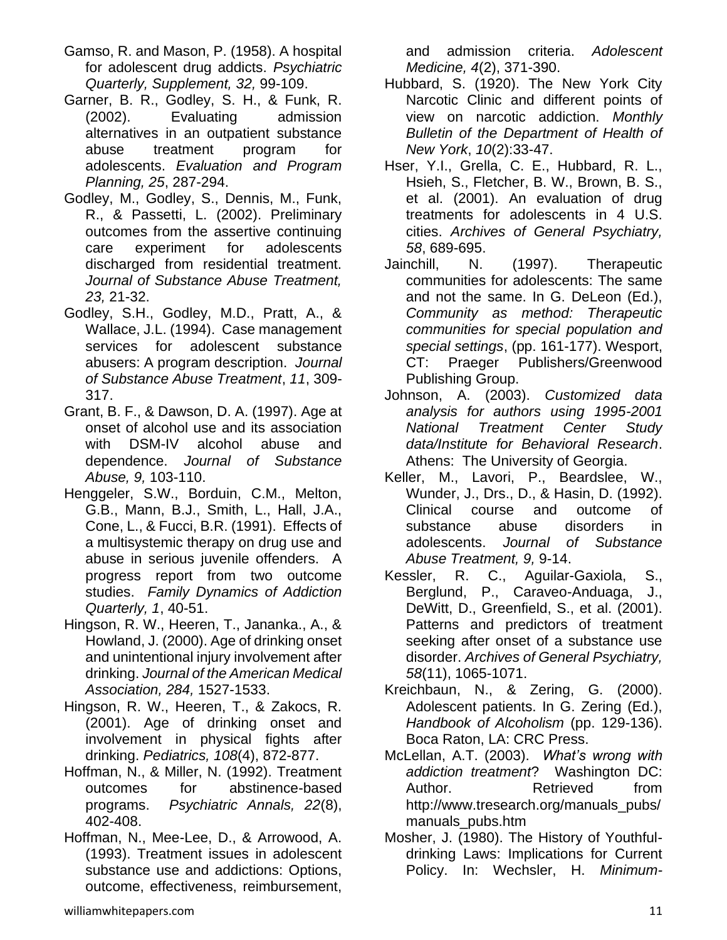- Gamso, R. and Mason, P. (1958). A hospital for adolescent drug addicts. *Psychiatric Quarterly, Supplement, 32,* 99-109.
- Garner, B. R., Godley, S. H., & Funk, R. (2002). Evaluating admission alternatives in an outpatient substance abuse treatment program for adolescents. *Evaluation and Program Planning, 25*, 287-294.
- Godley, M., Godley, S., Dennis, M., Funk, R., & Passetti, L. (2002). Preliminary outcomes from the assertive continuing care experiment for adolescents discharged from residential treatment. *Journal of Substance Abuse Treatment, 23,* 21-32.
- Godley, S.H., Godley, M.D., Pratt, A., & Wallace, J.L. (1994). Case management services for adolescent substance abusers: A program description. *Journal of Substance Abuse Treatment*, *11*, 309- 317.
- Grant, B. F., & Dawson, D. A. (1997). Age at onset of alcohol use and its association with DSM-IV alcohol abuse and dependence. *Journal of Substance Abuse, 9,* 103-110.
- Henggeler, S.W., Borduin, C.M., Melton, G.B., Mann, B.J., Smith, L., Hall, J.A., Cone, L., & Fucci, B.R. (1991). Effects of a multisystemic therapy on drug use and abuse in serious juvenile offenders. A progress report from two outcome studies. *Family Dynamics of Addiction Quarterly, 1*, 40-51.
- Hingson, R. W., Heeren, T., Jananka., A., & Howland, J. (2000). Age of drinking onset and unintentional injury involvement after drinking. *Journal of the American Medical Association, 284,* 1527-1533.
- Hingson, R. W., Heeren, T., & Zakocs, R. (2001). Age of drinking onset and involvement in physical fights after drinking. *Pediatrics, 108*(4), 872-877.
- Hoffman, N., & Miller, N. (1992). Treatment outcomes for abstinence-based programs. *Psychiatric Annals, 22*(8), 402-408.
- Hoffman, N., Mee-Lee, D., & Arrowood, A. (1993). Treatment issues in adolescent substance use and addictions: Options, outcome, effectiveness, reimbursement,

and admission criteria. *Adolescent Medicine, 4*(2), 371-390.

- Hubbard, S. (1920). The New York City Narcotic Clinic and different points of view on narcotic addiction. *Monthly Bulletin of the Department of Health of New York*, *10*(2):33-47.
- Hser, Y.I., Grella, C. E., Hubbard, R. L., Hsieh, S., Fletcher, B. W., Brown, B. S., et al. (2001). An evaluation of drug treatments for adolescents in 4 U.S. cities. *Archives of General Psychiatry, 58*, 689-695.
- Jainchill, N. (1997). Therapeutic communities for adolescents: The same and not the same. In G. DeLeon (Ed.), *Community as method: Therapeutic communities for special population and special settings*, (pp. 161-177). Wesport, CT: Praeger Publishers/Greenwood Publishing Group.
- Johnson, A. (2003). *Customized data analysis for authors using 1995-2001 National Treatment Center Study data/Institute for Behavioral Research*. Athens: The University of Georgia.
- Keller, M., Lavori, P., Beardslee, W., Wunder, J., Drs., D., & Hasin, D. (1992). Clinical course and outcome of substance abuse disorders in adolescents. *Journal of Substance Abuse Treatment, 9,* 9-14.
- Kessler, R. C., Aguilar-Gaxiola, S., Berglund, P., Caraveo-Anduaga, J., DeWitt, D., Greenfield, S., et al. (2001). Patterns and predictors of treatment seeking after onset of a substance use disorder. *Archives of General Psychiatry, 58*(11), 1065-1071.
- Kreichbaun, N., & Zering, G. (2000). Adolescent patients. In G. Zering (Ed.), *Handbook of Alcoholism* (pp. 129-136). Boca Raton, LA: CRC Press.
- McLellan, A.T. (2003). *What's wrong with addiction treatment*? Washington DC: Author. Retrieved from http://www.tresearch.org/manuals\_pubs/ manuals\_pubs.htm
- Mosher, J. (1980). The History of Youthfuldrinking Laws: Implications for Current Policy. In: Wechsler, H. *Minimum-*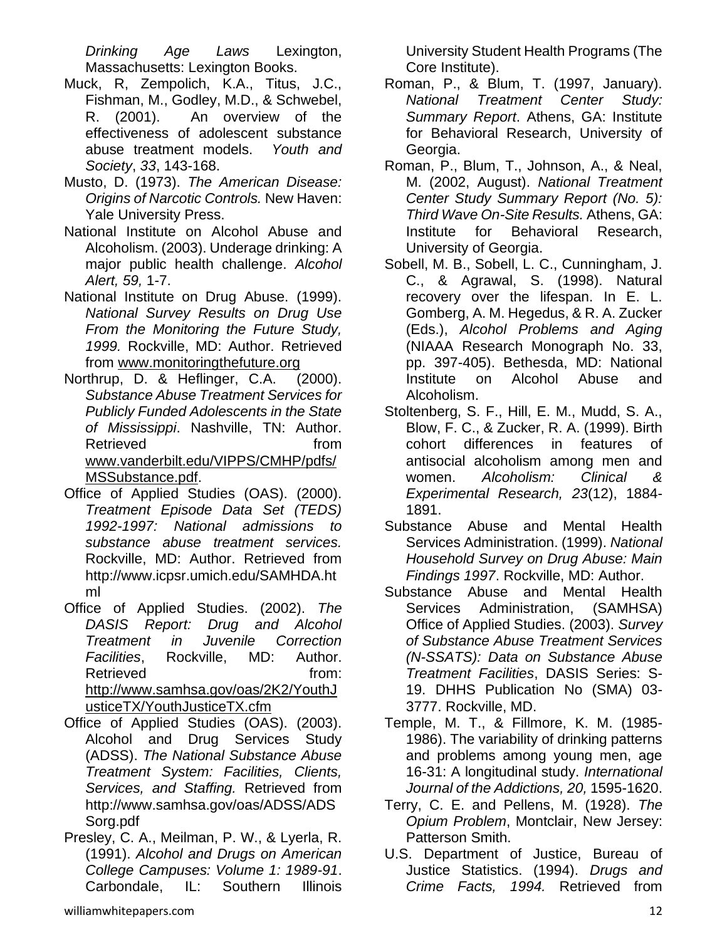*Drinking Age Laws* Lexington, Massachusetts: Lexington Books.

- Muck, R, Zempolich, K.A., Titus, J.C., Fishman, M., Godley, M.D., & Schwebel, R. (2001). An overview of the effectiveness of adolescent substance abuse treatment models. *Youth and Society*, *33*, 143-168.
- Musto, D. (1973). *The American Disease: Origins of Narcotic Controls.* New Haven: Yale University Press.
- National Institute on Alcohol Abuse and Alcoholism. (2003). Underage drinking: A major public health challenge. *Alcohol Alert, 59,* 1-7.
- National Institute on Drug Abuse. (1999). *National Survey Results on Drug Use From the Monitoring the Future Study, 1999.* Rockville, MD: Author. Retrieved from [www.monitoringthefuture.org](http://www.monitoringthefuture.org/)
- Northrup, D. & Heflinger, C.A. (2000). *Substance Abuse Treatment Services for Publicly Funded Adolescents in the State of Mississippi*. Nashville, TN: Author. Retrieved from from [www.vanderbilt.edu/VIPPS/CMHP/pdfs/](http://www.vanderbilt.edu/VIPPS/CMHP/pdfs/MSSubstance.pdf) [MSSubstance.pdf.](http://www.vanderbilt.edu/VIPPS/CMHP/pdfs/MSSubstance.pdf)
- Office of Applied Studies (OAS). (2000). *Treatment Episode Data Set (TEDS) 1992-1997: National admissions to substance abuse treatment services.* Rockville, MD: Author. Retrieved from http://www.icpsr.umich.edu/SAMHDA.ht ml
- Office of Applied Studies. (2002). *The DASIS Report: Drug and Alcohol Treatment in Juvenile Correction Facilities*, Rockville, MD: Author. Retrieved from: [http://www.samhsa.gov/oas/2K2/YouthJ](http://www.samhsa.gov/oas/2K2/YouthJusticeTX/YouthJusticeTX.cfm) [usticeTX/YouthJusticeTX.cfm](http://www.samhsa.gov/oas/2K2/YouthJusticeTX/YouthJusticeTX.cfm)
- Office of Applied Studies (OAS). (2003). Alcohol and Drug Services Study (ADSS). *The National Substance Abuse Treatment System: Facilities, Clients, Services, and Staffing.* Retrieved from http://www.samhsa.gov/oas/ADSS/ADS Sorg.pdf
- Presley, C. A., Meilman, P. W., & Lyerla, R. (1991). *Alcohol and Drugs on American College Campuses: Volume 1: 1989-91*. Carbondale, IL: Southern Illinois

University Student Health Programs (The Core Institute).

- Roman, P., & Blum, T. (1997, January). *National Treatment Center Study: Summary Report*. Athens, GA: Institute for Behavioral Research, University of Georgia.
- Roman, P., Blum, T., Johnson, A., & Neal, M. (2002, August). *National Treatment Center Study Summary Report (No. 5): Third Wave On-Site Results.* Athens, GA: Institute for Behavioral Research, University of Georgia.
- Sobell, M. B., Sobell, L. C., Cunningham, J. C., & Agrawal, S. (1998). Natural recovery over the lifespan. In E. L. Gomberg, A. M. Hegedus, & R. A. Zucker (Eds.), *Alcohol Problems and Aging* (NIAAA Research Monograph No. 33, pp. 397-405). Bethesda, MD: National Institute on Alcohol Abuse and Alcoholism.
- Stoltenberg, S. F., Hill, E. M., Mudd, S. A., Blow, F. C., & Zucker, R. A. (1999). Birth cohort differences in features of antisocial alcoholism among men and women. *Alcoholism: Clinical & Experimental Research, 23*(12), 1884- 1891.
- Substance Abuse and Mental Health Services Administration. (1999). *National Household Survey on Drug Abuse: Main Findings 1997*. Rockville, MD: Author.
- Substance Abuse and Mental Health Services Administration, (SAMHSA) Office of Applied Studies. (2003). *Survey of Substance Abuse Treatment Services (N-SSATS): Data on Substance Abuse Treatment Facilities*, DASIS Series: S-19. DHHS Publication No (SMA) 03- 3777. Rockville, MD.
- Temple, M. T., & Fillmore, K. M. (1985- 1986). The variability of drinking patterns and problems among young men, age 16-31: A longitudinal study. *International Journal of the Addictions, 20,* 1595-1620.
- Terry, C. E. and Pellens, M. (1928). *The Opium Problem*, Montclair, New Jersey: Patterson Smith.
- U.S. Department of Justice, Bureau of Justice Statistics. (1994). *Drugs and Crime Facts, 1994.* Retrieved from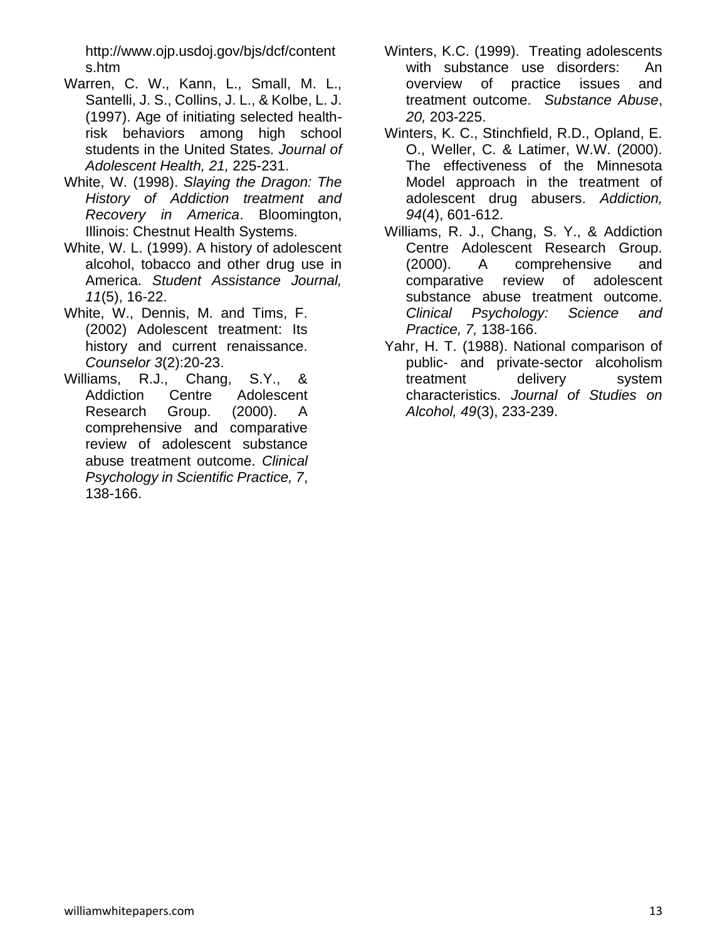http://www.ojp.usdoj.gov/bjs/dcf/content s.htm

- Warren, C. W., Kann, L., Small, M. L., Santelli, J. S., Collins, J. L., & Kolbe, L. J. (1997). Age of initiating selected healthrisk behaviors among high school students in the United States. *Journal of Adolescent Health, 21,* 225-231.
- White, W. (1998). *Slaying the Dragon: The History of Addiction treatment and Recovery in America*. Bloomington, Illinois: Chestnut Health Systems.
- White, W. L. (1999). A history of adolescent alcohol, tobacco and other drug use in America. *Student Assistance Journal, 11*(5), 16-22.
- White, W., Dennis, M. and Tims, F. (2002) Adolescent treatment: Its history and current renaissance. *Counselor 3*(2):20-23.
- Williams, R.J., Chang, S.Y., & Addiction Centre Adolescent Research Group. (2000). A comprehensive and comparative review of adolescent substance abuse treatment outcome. *Clinical Psychology in Scientific Practice, 7*, 138-166.
- Winters, K.C. (1999). Treating adolescents with substance use disorders: An overview of practice issues and treatment outcome. *Substance Abuse*, *20,* 203-225.
- Winters, K. C., Stinchfield, R.D., Opland, E. O., Weller, C. & Latimer, W.W. (2000). The effectiveness of the Minnesota Model approach in the treatment of adolescent drug abusers. *Addiction, 94*(4), 601-612.
- Williams, R. J., Chang, S. Y., & Addiction Centre Adolescent Research Group. (2000). A comprehensive and comparative review of adolescent substance abuse treatment outcome. *Clinical Psychology: Science and Practice, 7,* 138-166.
- Yahr, H. T. (1988). National comparison of public- and private-sector alcoholism treatment delivery system characteristics. *Journal of Studies on Alcohol, 49*(3), 233-239.